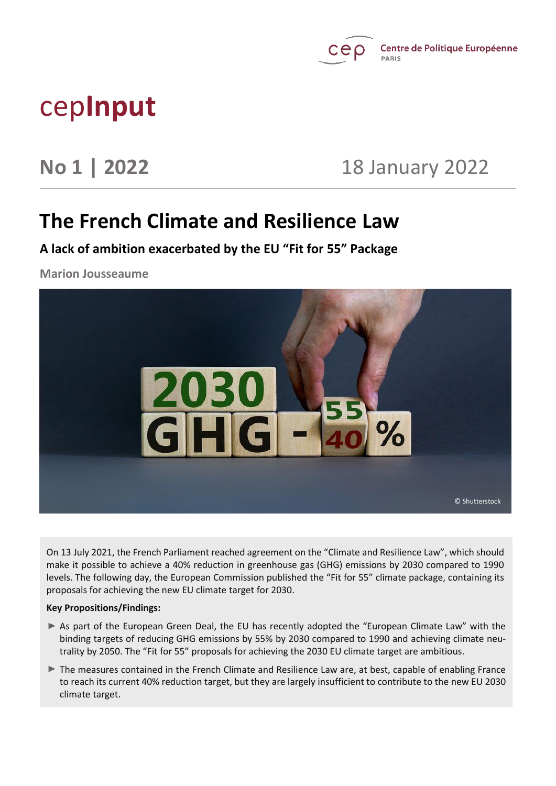

# cep**Input**

**No 1 | 2022** 18 January 2022

## **The French Climate and Resilience Law**

**A lack of ambition exacerbated by the EU "Fit for 55" Package**

**Marion Jousseaume**



On 13 July 2021, the French Parliament reached agreement on the "Climate and Resilience Law", which should make it possible to achieve a 40% reduction in greenhouse gas (GHG) emissions by 2030 compared to 1990 levels. The following day, the European Commission published the "Fit for 55" climate package, containing its proposals for achieving the new EU climate target for 2030.

#### **Key Propositions/Findings:**

- As part of the European Green Deal, the EU has recently adopted the "European Climate Law" with the binding targets of reducing GHG emissions by 55% by 2030 compared to 1990 and achieving climate neutrality by 2050. The "Fit for 55" proposals for achieving the 2030 EU climate target are ambitious.
- The measures contained in the French Climate and Resilience Law are, at best, capable of enabling France to reach its current 40% reduction target, but they are largely insufficient to contribute to the new EU 2030 climate target.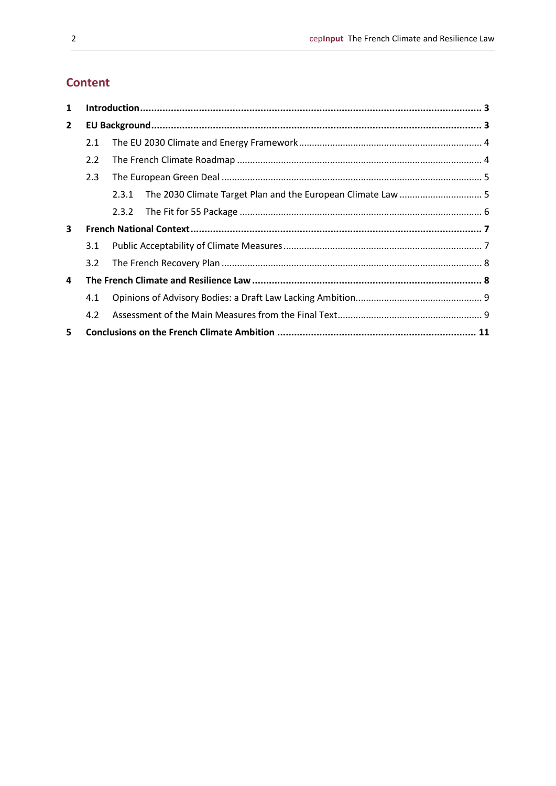### **Content**

| 1            |               |                                                                       |  |
|--------------|---------------|-----------------------------------------------------------------------|--|
| $\mathbf{2}$ |               |                                                                       |  |
|              | 2.1           |                                                                       |  |
|              | 2.2           |                                                                       |  |
|              | 2.3           |                                                                       |  |
|              |               | The 2030 Climate Target Plan and the European Climate Law  5<br>2.3.1 |  |
|              |               | 2.3.2                                                                 |  |
| 3            |               |                                                                       |  |
|              | 3.1           |                                                                       |  |
|              | $3.2^{\circ}$ |                                                                       |  |
| 4            |               |                                                                       |  |
|              | 4.1           |                                                                       |  |
|              | 4.2           |                                                                       |  |
| 5            |               |                                                                       |  |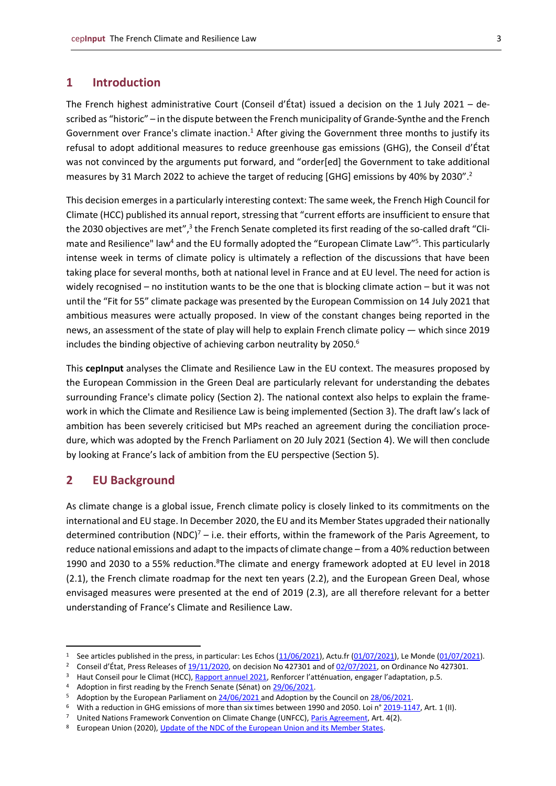#### <span id="page-2-0"></span>**1 Introduction**

The French highest administrative Court (Conseil d'État) issued a decision on the 1 July 2021 – described as "historic" – in the dispute between the French municipality of Grande-Synthe and the French Government over France's climate inaction.<sup>1</sup> After giving the Government three months to justify its refusal to adopt additional measures to reduce greenhouse gas emissions (GHG), the Conseil d'État was not convinced by the arguments put forward, and "order[ed] the Government to take additional measures by 31 March 2022 to achieve the target of reducing [GHG] emissions by 40% by 2030".<sup>2</sup>

This decision emerges in a particularly interesting context: The same week, the French High Council for Climate (HCC) published its annual report, stressing that "current efforts are insufficient to ensure that the 2030 objectives are met",<sup>3</sup> the French Senate completed its first reading of the so-called draft "Climate and Resilience" law<sup>4</sup> and the EU formally adopted the "European Climate Law"<sup>5</sup>. This particularly intense week in terms of climate policy is ultimately a reflection of the discussions that have been taking place for several months, both at national level in France and at EU level. The need for action is widely recognised – no institution wants to be the one that is blocking climate action – but it was not until the "Fit for 55" climate package was presented by the European Commission on 14 July 2021 that ambitious measures were actually proposed. In view of the constant changes being reported in the news, an assessment of the state of play will help to explain French climate policy — which since 2019 includes the binding objective of achieving carbon neutrality by 2050.<sup>6</sup>

This **cepInput** analyses the Climate and Resilience Law in the EU context. The measures proposed by the European Commission in the Green Deal are particularly relevant for understanding the debates surrounding France's climate policy (Section 2). The national context also helps to explain the framework in which the Climate and Resilience Law is being implemented (Section 3). The draft law's lack of ambition has been severely criticised but MPs reached an agreement during the conciliation procedure, which was adopted by the French Parliament on 20 July 2021 (Section 4). We will then conclude by looking at France's lack of ambition from the EU perspective (Section 5).

#### <span id="page-2-1"></span>**2 EU Background**

As climate change is a global issue, French climate policy is closely linked to its commitments on the international and EU stage. In December 2020, the EU and its Member States upgraded their nationally determined contribution (NDC)<sup>7</sup> – i.e. their efforts, within the framework of the Paris Agreement, to reduce national emissions and adapt to the impacts of climate change – from a 40% reduction between 1990 and 2030 to a 55% reduction.<sup>8</sup>The climate and energy framework adopted at EU level in 2018 (2.1), the French climate roadmap for the next ten years (2.2), and the European Green Deal, whose envisaged measures were presented at the end of 2019 (2.3), are all therefore relevant for a better understanding of France's Climate and Resilience Law.

<sup>&</sup>lt;sup>1</sup> See articles published in the press, in particular: Les Echos  $(11/06/2021)$ , Actu.fr  $(01/07/2021)$ , Le Monde  $(01/07/2021)$ .

<sup>&</sup>lt;sup>2</sup> Conseil d'État, Press Releases o[f 19/11/2020,](https://www.conseil-etat.fr/en/news/greenhouse-gas-emissions-the-government-must-justify-within-3-months-that-the-reduction-path-to-2030-can-be-achieved) on decision No 427301 and o[f 02/07/2021,](https://www.conseil-etat.fr/en/news/greenhouse-gas-emissions-the-conseil-d-etat-annuls-the-government-s-refusal-to-take-additional-measures-and-orders-it-to-take-these-measures-befor) on Ordinance No 427301.

<sup>&</sup>lt;sup>3</sup> Haut Conseil pour le Climat (HCC), [Rapport annuel 2021](https://www.hautconseilclimat.fr/wp-content/uploads/2021/06/HCC-rappport-annuel-2021.pdf), Renforcer l'atténuation, engager l'adaptation, p.5.

Adoption in first reading by the French Senate (Sénat) o[n 29/06/2021.](http://www.senat.fr/fileadmin/Fichiers/Images/redaction_multimedia/2021/2021-06-Juin/Cards_Infog_PJL_Climat/longform_2x.pdf)

<sup>&</sup>lt;sup>5</sup> Adoption by the European Parliament o[n 24/06/2021 a](https://www.europarl.europa.eu/news/en/press-room/20210621IPR06627/eu-climate-law-meps-confirm-deal-on-climate-neutrality-by-2050)nd Adoption by the Council on [28/06/2021.](https://www.consilium.europa.eu/fr/press/press-releases/2021/06/28/council-adopts-european-climate-law/)

<sup>6</sup> With a reduction in GHG emissions of more than six times between 1990 and 2050. Loi n° [2019-1147,](https://www.legifrance.gouv.fr/eli/loi/2019/11/8/TREX1911204L/jo/texte) Art. 1 (II).

<sup>7</sup> United Nations Framework Convention on Climate Change (UNFCC), [Paris Agreement,](https://unfccc.int/files/meetings/paris_nov_2015/application/pdf/paris_agreement_english_.pdf) Art. 4(2).

<sup>8</sup> European Union (2020)[, Update of the NDC of the European Union and its Member States.](https://www4.unfccc.int/sites/ndcstaging/PublishedDocuments/European%20Union%20First/EU_NDC_Submission_December%202020.pdf)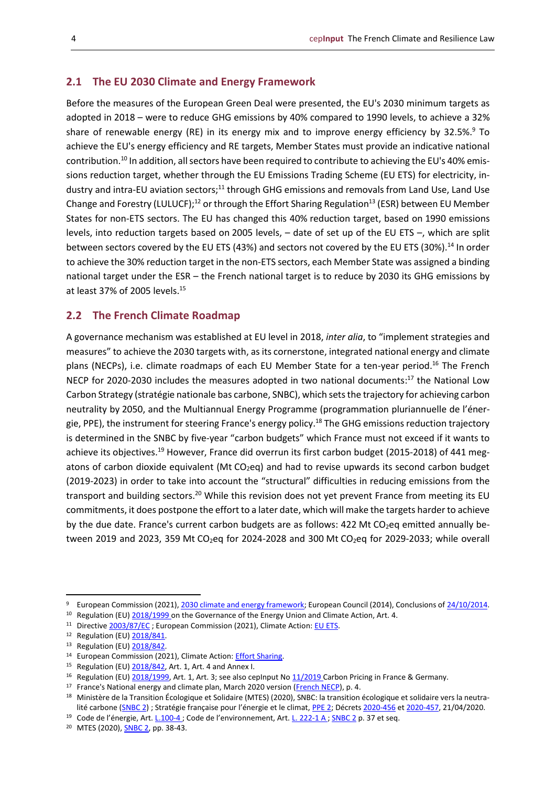#### <span id="page-3-0"></span>**2.1 The EU 2030 Climate and Energy Framework**

Before the measures of the European Green Deal were presented, the EU's 2030 minimum targets as adopted in 2018 – were to reduce GHG emissions by 40% compared to 1990 levels, to achieve a 32% share of renewable energy (RE) in its energy mix and to improve energy efficiency by 32.5%.<sup>9</sup> To achieve the EU's energy efficiency and RE targets, Member States must provide an indicative national contribution.<sup>10</sup> In addition, all sectors have been required to contribute to achieving the EU's 40% emissions reduction target, whether through the EU Emissions Trading Scheme (EU ETS) for electricity, industry and intra-EU aviation sectors;<sup>11</sup> through GHG emissions and removals from Land Use, Land Use Change and Forestry (LULUCF);<sup>12</sup> or through the Effort Sharing Regulation<sup>13</sup> (ESR) between EU Member States for non-ETS sectors. The EU has changed this 40% reduction target, based on 1990 emissions levels, into reduction targets based on 2005 levels, – date of set up of the EU ETS –, which are split between sectors covered by the EU ETS (43%) and sectors not covered by the EU ETS (30%).<sup>14</sup> In order to achieve the 30% reduction target in the non-ETS sectors, each Member State was assigned a binding national target under the ESR – the French national target is to reduce by 2030 its GHG emissions by at least 37% of 2005 levels.<sup>15</sup>

#### <span id="page-3-1"></span>**2.2 The French Climate Roadmap**

A governance mechanism was established at EU level in 2018, *inter alia*, to "implement strategies and measures" to achieve the 2030 targets with, as its cornerstone, integrated national energy and climate plans (NECPs), i.e. climate roadmaps of each EU Member State for a ten-year period.<sup>16</sup> The French NECP for 2020-2030 includes the measures adopted in two national documents:<sup>17</sup> the National Low Carbon Strategy (stratégie nationale bas carbone, SNBC), which sets the trajectory for achieving carbon neutrality by 2050, and the Multiannual Energy Programme (programmation pluriannuelle de l'énergie, PPE), the instrument for steering France's energy policy.<sup>18</sup> The GHG emissions reduction trajectory is determined in the SNBC by five-year "carbon budgets" which France must not exceed if it wants to achieve its objectives.<sup>19</sup> However, France did overrun its first carbon budget (2015-2018) of 441 megatons of carbon dioxide equivalent (Mt CO<sub>2</sub>eq) and had to revise upwards its second carbon budget (2019-2023) in order to take into account the "structural" difficulties in reducing emissions from the transport and building sectors.<sup>20</sup> While this revision does not yet prevent France from meeting its EU commitments, it does postpone the effort to a later date, which will make the targets harder to achieve by the due date. France's current carbon budgets are as follows: 422 Mt CO<sub>2</sub>eq emitted annually between 2019 and 2023, 359 Mt CO<sub>2</sub>eq for 2024-2028 and 300 Mt CO<sub>2</sub>eq for 2029-2033; while overall

<sup>9</sup> European Commission (2021), [2030 climate and energy framework;](https://ec.europa.eu/clima/policies/strategies/2030_en) European Council (2014), Conclusions o[f 24/10/2014.](https://data.consilium.europa.eu/doc/document/ST-169-2014-INIT/fr/pdf)

<sup>&</sup>lt;sup>10</sup> Regulation (EU[\) 2018/1999 o](http://data.europa.eu/eli/reg/2018/1999/2021-01-01)n the Governance of the Energy Union and Climate Action, Art. 4.

<sup>&</sup>lt;sup>11</sup> Directive **2003/87/EC**; European Commission (2021), Climate Action: **EU ETS**.

<sup>12</sup> Regulation (EU[\) 2018/841.](http://data.europa.eu/eli/reg/2018/841/oj)

<sup>13</sup> Regulation (EU[\) 2018/842.](http://data.europa.eu/eli/reg/2018/842/oj)

<sup>14</sup> European Commission (2021), Climate Action: **Effort Sharing**.

<sup>&</sup>lt;sup>15</sup> Regulation (EU[\) 2018/842,](https://eur-lex.europa.eu/eli/reg/2018/842/oj) Art. 1, Art. 4 and Annex I.

<sup>&</sup>lt;sup>16</sup> Regulation (EU[\) 2018/1999,](http://data.europa.eu/eli/reg/2018/1999/2021-01-01) Art. 1, Art. 3; see also cepInput No [11/2019 C](https://www.cep.eu/fileadmin/user_upload/cep.eu/Studien/cepInput_Carbon_Pricing_in_France___Germany.pdf)arbon Pricing in France & Germany.

<sup>&</sup>lt;sup>17</sup> France's National energy and climate plan, March 2020 version [\(French NECP\)](https://ec.europa.eu/energy/sites/ener/files/documents/fr_final_necp_main_fr.pdf), p. 4.

<sup>18</sup> Ministère de la Transition Écologique et Solidaire (MTES) (2020), SNBC: la transition écologique et solidaire vers la neutra-lité carbone [\(SNBC 2\)](https://www.ecologie.gouv.fr/sites/default/files/2020-03-25_MTES_SNBC2.pdf) ; Stratégie française pour l'énergie et le climat, [PPE 2;](https://www.ecologie.gouv.fr/sites/default/files/20200422%20Programmation%20pluriannuelle%20de%20l%27e%CC%81nergie.pdf) Décrets [2020-456](https://www.legifrance.gouv.fr/eli/decret/2020/4/21/TRER2006667D/jo/texte) e[t 2020-457,](https://www.legifrance.gouv.fr/eli/decret/2020/4/21/TRER2008021D/jo/texte) 21/04/2020.

<sup>&</sup>lt;sup>19</sup> Code de l'énergie, Art. [L.100-4](https://www.legifrance.gouv.fr/codes/article_lc/LEGIARTI000039369320) ; Code de l'environnement, Art. L. [222-1](https://www.legifrance.gouv.fr/codes/article_lc/LEGIARTI000031055378/) A [; SNBC](https://www.ecologie.gouv.fr/sites/default/files/2020-03-25_MTES_SNBC2.pdf) 2 p. 37 et seq.

<sup>20</sup> MTES (2020), [SNBC 2,](https://www.ecologie.gouv.fr/sites/default/files/2020-03-25_MTES_SNBC2.pdf) pp. 38-43.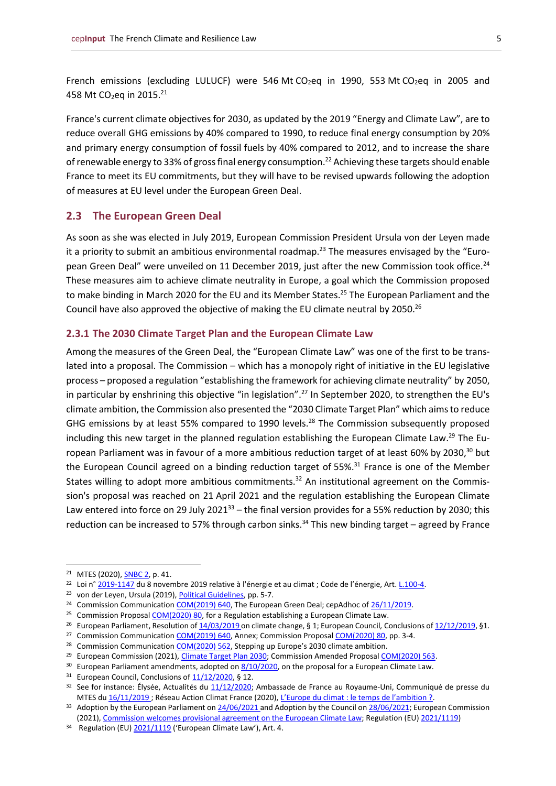French emissions (excluding LULUCF) were 546 Mt  $CO<sub>2</sub>$ eq in 1990, 553 Mt  $CO<sub>2</sub>$ eq in 2005 and 458 Mt CO<sub>2</sub>eq in 2015.<sup>21</sup>

France's current climate objectives for 2030, as updated by the 2019 "Energy and Climate Law", are to reduce overall GHG emissions by 40% compared to 1990, to reduce final energy consumption by 20% and primary energy consumption of fossil fuels by 40% compared to 2012, and to increase the share of renewable energy to 33% of gross final energy consumption. <sup>22</sup> Achieving these targets should enable France to meet its EU commitments, but they will have to be revised upwards following the adoption of measures at EU level under the European Green Deal.

#### <span id="page-4-0"></span>**2.3 The European Green Deal**

As soon as she was elected in July 2019, European Commission President Ursula von der Leyen made it a priority to submit an ambitious environmental roadmap.<sup>23</sup> The measures envisaged by the "European Green Deal" were unveiled on 11 December 2019, just after the new Commission took office.<sup>24</sup> These measures aim to achieve climate neutrality in Europe, a goal which the Commission proposed to make binding in March 2020 for the EU and its Member States. <sup>25</sup> The European Parliament and the Council have also approved the objective of making the EU climate neutral by 2050.<sup>26</sup>

#### <span id="page-4-1"></span>**2.3.1 The 2030 Climate Target Plan and the European Climate Law**

Among the measures of the Green Deal, the "European Climate Law" was one of the first to be translated into a proposal. The Commission – which has a monopoly right of initiative in the EU legislative process – proposed a regulation "establishing the framework for achieving climate neutrality" by 2050, in particular by enshrining this objective "in legislation". <sup>27</sup> In September 2020, to strengthen the EU's climate ambition, the Commission also presented the "2030 Climate Target Plan" which aims to reduce GHG emissions by at least 55% compared to 1990 levels.<sup>28</sup> The Commission subsequently proposed including this new target in the planned regulation establishing the European Climate Law.<sup>29</sup> The European Parliament was in favour of a more ambitious reduction target of at least 60% by 2030,<sup>30</sup> but the European Council agreed on a binding reduction target of 55%.<sup>31</sup> France is one of the Member States willing to adopt more ambitious commitments.<sup>32</sup> An institutional agreement on the Commission's proposal was reached on 21 April 2021 and the regulation establishing the European Climate Law entered into force on 29 July 2021<sup>33</sup> – the final version provides for a 55% reduction by 2030; this reduction can be increased to 57% through carbon sinks.<sup>34</sup> This new binding target – agreed by France

<sup>21</sup> MTES (2020), [SNBC 2,](https://www.ecologie.gouv.fr/sites/default/files/2020-03-25_MTES_SNBC2.pdf) p. 41.

<sup>22</sup> Loi n° [2019-1147](https://www.legifrance.gouv.fr/eli/loi/2019/11/8/TREX1911204L/jo/texte) du 8 novembre 2019 relative à l'énergie et au climat ; Code de l'énergie, Art. [L.100-4.](https://www.legifrance.gouv.fr/codes/article_lc/LEGIARTI000039369320)

<sup>23</sup> von der Leyen, Ursula (2019)[, Political Guidelines,](https://www.europarl.europa.eu/resources/library/media/20190716RES57231/20190716RES57231.pdf) pp. 5-7.

<sup>&</sup>lt;sup>24</sup> Commission Communication [COM\(2019\) 640,](https://eur-lex.europa.eu/legal-content/FR/TXT/?uri=CELEX:52019DC0640) The European Green Deal; cepAdhoc o[f 26/11/2019.](https://www.cep.eu/fileadmin/user_upload/cep.eu/Studien/cepAdhoc_Neue_EU-Kommission_Teil_2__Neuer_Gruener_Deal/cepAdhoc_Von_der_Leyens_tasks_for_the_new_EU_Commission_-_Part_2_A_European_Green_Deal.pdf)

<sup>&</sup>lt;sup>25</sup> Commission Proposal [COM\(2020\) 80,](https://eur-lex.europa.eu/legal-content/FR/TXT/?uri=CELEX:52020PC0080) for a Regulation establishing a European Climate Law.

<sup>&</sup>lt;sup>26</sup> European Parliament, Resolution o[f 14/03/2019 o](https://www.europarl.europa.eu/doceo/document/TA-8-2019-0217_FR.html)n climate change, § 1; European Council, Conclusions o[f 12/12/2019,](https://www.consilium.europa.eu/media/41778/12-euco-final-conclusions-fr.pdf) §1.

<sup>&</sup>lt;sup>27</sup> Commission Communication [COM\(2019\) 640,](https://eur-lex.europa.eu/legal-content/FR/TXT/?uri=CELEX:52019DC0640) Annex; Commission Proposa[l COM\(2020\) 80,](https://eur-lex.europa.eu/legal-content/FR/TXT/?uri=CELEX:52020PC0080) pp. 3-4.

<sup>&</sup>lt;sup>28</sup> Commission Communication [COM\(2020\) 562,](https://eur-lex.europa.eu/legal-content/FR/TXT/?uri=COM:2020:562:FIN) Stepping up Europe's 2030 climate ambition.

<sup>&</sup>lt;sup>29</sup> European Commission (2021), *Climate Target Plan 2030;* Commission Amended Proposal *COM(2020)* 563.

 $30$  European Parliament amendments, adopted on  $8/10/2020$ , on the proposal for a European Climate Law.

 $31$  European Council, Conclusions of  $11/12/2020$ , § 12.

<sup>3</sup>[2](https://reseauactionclimat.org/leurope-du-climat-le-temps-de-lambition/) See for instance: Élysée, Actualités du [11/12/2020;](https://www.elysee.fr/emmanuel-macron/2020/12/10/conseil-europeen-des-10-et-11-decembre-2020) Ambassade de France au Royaume-Uni, Communiqué de presse du MTES d[u 16/11/2019](https://uk.ambafrance.org/La-France-regrette-un-manque-d-ambition-climatique) ; Réseau Action Climat France (2020), [L'Europe du climat : le temps de l'ambition ?](https://reseauactionclimat.org/leurope-du-climat-le-temps-de-lambition/).

<sup>&</sup>lt;sup>33</sup> Adoption by the European Parliament o[n 24/06/2021 a](https://www.europarl.europa.eu/news/en/press-room/20210621IPR06627/eu-climate-law-meps-confirm-deal-on-climate-neutrality-by-2050)nd Adoption by the Council o[n 28/06/2021;](https://www.consilium.europa.eu/fr/press/press-releases/2021/06/28/council-adopts-european-climate-law/) European Commission (2021)[, Commission welcomes provisional agreement on the](https://ec.europa.eu/commission/presscorner/detail/en/ip_21_1828) European Climate Law; Regulation (EU) [2021/1119\)](http://data.europa.eu/eli/reg/2021/1119/oj)

<sup>&</sup>lt;sup>34</sup> Regulation (EU[\) 2021/1119](http://data.europa.eu/eli/reg/2021/1119/oj) ('European Climate Law'), Art. 4.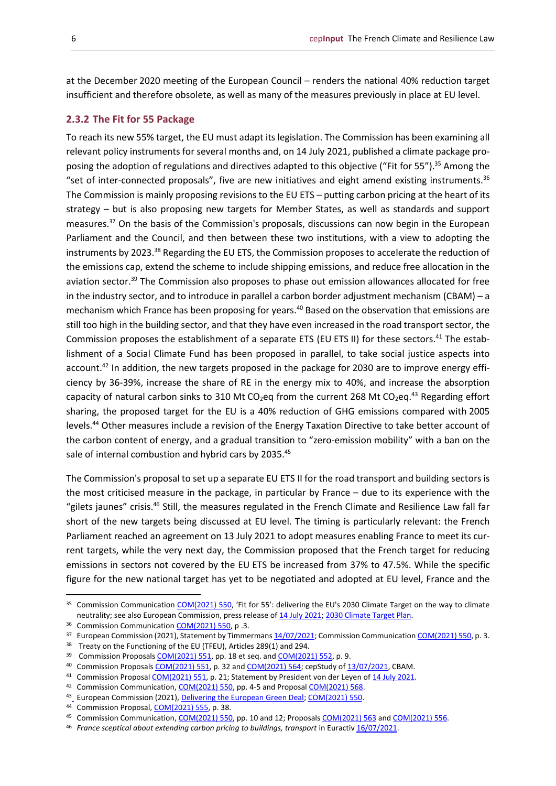at the December 2020 meeting of the European Council – renders the national 40% reduction target insufficient and therefore obsolete, as well as many of the measures previously in place at EU level.

#### <span id="page-5-0"></span>**2.3.2 The Fit for 55 Package**

To reach its new 55% target, the EU must adapt its legislation. The Commission has been examining all relevant policy instruments for several months and, on 14 July 2021, published a climate package proposing the adoption of regulations and directives adapted to this objective ("Fit for 55"). <sup>35</sup> Among the "set of inter-connected proposals", five are new initiatives and eight amend existing instruments.  $36$ The Commission is mainly proposing revisions to the EU ETS – putting carbon pricing at the heart of its strategy – but is also proposing new targets for Member States, as well as standards and support measures. <sup>37</sup> On the basis of the Commission's proposals, discussions can now begin in the European Parliament and the Council, and then between these two institutions, with a view to adopting the instruments by 2023.<sup>38</sup> Regarding the EU ETS, the Commission proposes to accelerate the reduction of the emissions cap, extend the scheme to include shipping emissions, and reduce free allocation in the aviation sector.<sup>39</sup> The Commission also proposes to phase out emission allowances allocated for free in the industry sector, and to introduce in parallel a carbon border adjustment mechanism (CBAM) – a mechanism which France has been proposing for years. <sup>40</sup> Based on the observation that emissions are still too high in the building sector, and that they have even increased in the road transport sector, the Commission proposes the establishment of a separate ETS (EU ETS II) for these sectors.<sup>41</sup> The establishment of a Social Climate Fund has been proposed in parallel, to take social justice aspects into account.<sup>42</sup> In addition, the new targets proposed in the package for 2030 are to improve energy efficiency by 36-39%, increase the share of RE in the energy mix to 40%, and increase the absorption capacity of natural carbon sinks to 310 Mt CO<sub>2</sub>eq from the current 268 Mt CO<sub>2</sub>eq.<sup>43</sup> Regarding effort sharing, the proposed target for the EU is a 40% reduction of GHG emissions compared with 2005 levels. <sup>44</sup> Other measures include a revision of the Energy Taxation Directive to take better account of the carbon content of energy, and a gradual transition to "zero-emission mobility" with a ban on the sale of internal combustion and hybrid cars by 2035.<sup>45</sup>

The Commission's proposal to set up a separate EU ETS II for the road transport and building sectors is the most criticised measure in the package, in particular by France – due to its experience with the "gilets jaunes" crisis.<sup>46</sup> Still, the measures regulated in the French Climate and Resilience Law fall far short of the new targets being discussed at EU level. The timing is particularly relevant: the French Parliament reached an agreement on 13 July 2021 to adopt measures enabling France to meet its current targets, while the very next day, the Commission proposed that the French target for reducing emissions in sectors not covered by the EU ETS be increased from 37% to 47.5%. While the specific figure for the new national target has yet to be negotiated and adopted at EU level, France and the

- 41 Commission Proposal [COM\(2021\) 551,](https://ec.europa.eu/info/sites/default/files/revision-eu-ets_with-annex_en_0.pdf) p. 21; Statement by President von der Leyen of 14 [July 2021.](https://ec.europa.eu/commission/presscorner/detail/en/statement_21_3701)
- <sup>42</sup> Commission Communication[, COM\(2021\) 550,](https://eur-lex.europa.eu/legal-content/FR/TXT/PDF/?uri=CELEX:52021DC0550&from=FR) pp. 4-5 and Proposal [COM\(2021\) 568.](https://ec.europa.eu/info/sites/default/files/social-climate-fund_with-annex_en.pdf)

<sup>&</sup>lt;sup>35</sup> Commission Communicatio[n COM\(2021\) 550](https://ec.europa.eu/info/sites/default/files/chapeau_communication.pdf), 'Fit for 55': delivering the EU's 2030 Climate Target on the way to climate neutrality; see also European Commission, press release of 14 [July 2021;](https://ec.europa.eu/commission/presscorner/detail/fr/ip_21_3541) [2030 Climate Target Plan.](https://ec.europa.eu/clima/policies/eu-climate-action/2030_ctp_en)

<sup>&</sup>lt;sup>36</sup> Commission Communication [COM\(2021\) 550,](https://eur-lex.europa.eu/legal-content/FR/TXT/PDF/?uri=CELEX:52021DC0550&from=FR) p .3.

<sup>&</sup>lt;sup>37</sup> European Commission (2021), Statement by Timmerman[s 14/07/2021;](https://ec.europa.eu/commission/presscorner/detail/en/speech_21_3722) Commission Communicatio[n COM\(2021\) 550,](https://eur-lex.europa.eu/legal-content/FR/TXT/PDF/?uri=CELEX:52021DC0550&from=FR) p. 3.

<sup>&</sup>lt;sup>38</sup> Treaty on the Functioning of the EU (TFEU), Articles 289(1) and 294.

<sup>39</sup> Commission Proposal[s COM\(2021\) 551,](https://ec.europa.eu/info/sites/default/files/revision-eu-ets_with-annex_en_0.pdf) pp. 18 et seq. and [COM\(2021\) 552,](https://ec.europa.eu/info/sites/default/files/revision_of_the_eu_emission_trading_system_for_aviation.pdf) p. 9.

<sup>40</sup> Commission Proposal[s COM\(2021\) 551,](https://ec.europa.eu/info/sites/default/files/revision-eu-ets_with-annex_en_0.pdf) p. 32 an[d COM\(2021\) 564;](https://ec.europa.eu/info/sites/default/files/carbon_border_adjustment_mechanism_0.pdf) cepStudy o[f 13/07/2021,](https://cepfrance.eu/eu-topics/details?tx_cepmonitor_monitor%5Baction%5D=show&tx_cepmonitor_monitor%5Bcontroller%5D=Project&tx_cepmonitor_monitor%5Bproject%5D=3744&cHash=ca8367bb755ab2ddda3f60c4ef7517eb) CBAM.

<sup>&</sup>lt;sup>4[3](https://ec.europa.eu/info/strategy/priorities-2019-2024/european-green-deal/delivering-european-green-deal_en)</sup> European Commission (2021)[, Delivering the European Green Deal;](https://ec.europa.eu/info/strategy/priorities-2019-2024/european-green-deal/delivering-european-green-deal_en) [COM\(2021\) 550.](https://eur-lex.europa.eu/legal-content/FR/TXT/PDF/?uri=CELEX:52021DC0550&from=FR)

<sup>44</sup> Commission Proposal[, COM\(2021\) 555,](https://ec.europa.eu/info/sites/default/files/proposal-amendment-effort-sharing-regulation-with-annexes_en.pdf) p. 38.

<sup>45</sup> Commission Communication[, COM\(2021\) 550,](https://eur-lex.europa.eu/legal-content/FR/TXT/PDF/?uri=CELEX:52021DC0550&from=FR) pp. 10 and 12; Proposal[s COM\(2021\) 563](https://ec.europa.eu/info/sites/default/files/revision_of_the_energy_tax_directive_0.pdf) and [COM\(2021\) 556.](https://ec.europa.eu/info/sites/default/files/amendment-regulation-co2-emission-standards-cars-vans-with-annexes_en.pdf)

<sup>&</sup>lt;sup>46</sup> *France sceptical about extending carbon pricing to buildings, transport in Euractiv [16/07/2021.](https://www.euractiv.com/section/energy/news/france-sceptical-about-extending-carbon-pricing-to-buildings-transport/)*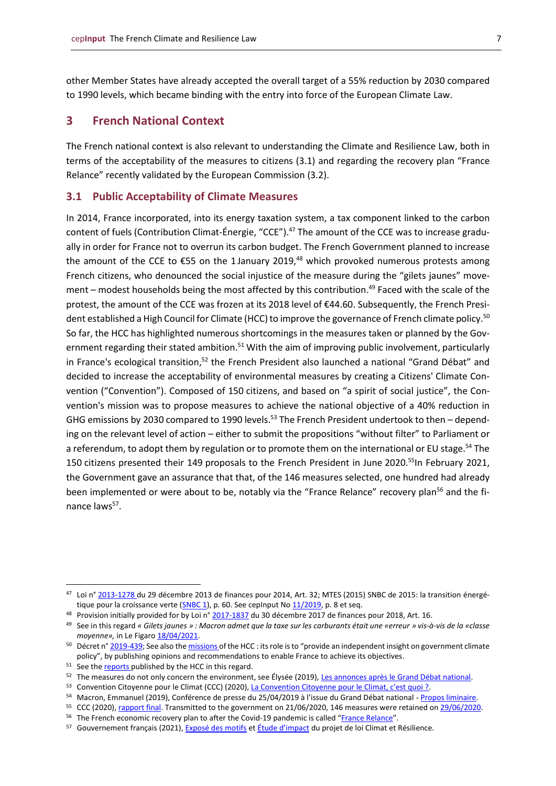other Member States have already accepted the overall target of a 55% reduction by 2030 compared to 1990 levels, which became binding with the entry into force of the European Climate Law.

#### <span id="page-6-0"></span>**3 French National Context**

The French national context is also relevant to understanding the Climate and Resilience Law, both in terms of the acceptability of the measures to citizens (3.1) and regarding the recovery plan "France Relance" recently validated by the European Commission (3.2).

#### <span id="page-6-1"></span>**3.1 Public Acceptability of Climate Measures**

In 2014, France incorporated, into its energy taxation system, a tax component linked to the carbon content of fuels (Contribution Climat-Énergie, "CCE").<sup>47</sup> The amount of the CCE was to increase gradually in order for France not to overrun its carbon budget. The French Government planned to increase the amount of the CCE to  $\epsilon$ 55 on the 1 January 2019,<sup>48</sup> which provoked numerous protests among French citizens, who denounced the social injustice of the measure during the "gilets jaunes" movement – modest households being the most affected by this contribution. <sup>49</sup> Faced with the scale of the protest, the amount of the CCE was frozen at its 2018 level of €44.60. Subsequently, the French President established a High Council for Climate (HCC) to improve the governance of French climate policy. <sup>50</sup> So far, the HCC has highlighted numerous shortcomings in the measures taken or planned by the Government regarding their stated ambition.<sup>51</sup> With the aim of improving public involvement, particularly in France's ecological transition,<sup>52</sup> the French President also launched a national "Grand Débat" and decided to increase the acceptability of environmental measures by creating a Citizens' Climate Convention ("Convention"). Composed of 150 citizens, and based on "a spirit of social justice", the Convention's mission was to propose measures to achieve the national objective of a 40% reduction in GHG emissions by 2030 compared to 1990 levels.<sup>53</sup> The French President undertook to then – depending on the relevant level of action – either to submit the propositions "without filter" to Parliament or a referendum, to adopt them by regulation or to promote them on the international or EU stage.<sup>54</sup> The 150 citizens presented their 149 proposals to the French President in June 2020.<sup>55</sup>In February 2021, the Government gave an assurance that that, of the 146 measures selected, one hundred had already been implemented or were about to be, notably via the "France Relance" recovery plan<sup>56</sup> and the finance laws<sup>57</sup>.

<sup>47</sup> Loi n° [2013-1278 d](https://www.legifrance.gouv.fr/eli/loi/2013/12/29/EFIX1323580L/jo/texte)u 29 décembre 2013 de finances pour 2014, Art. 32; MTES (2015) SNBC de 2015: la transition énergé-tique pour la croissance verte [\(SNBC 1\)](https://www.ecologie.gouv.fr/sites/default/files/SNBC_Strategie_Nationale_Bas_Carbone_France_2015.pdf), p. 60. See cepInput N[o 11/2019,](https://www.cep.eu/fileadmin/user_upload/cep.eu/Studien/cepInput_Carbon_Pricing_in_France___Germany.pdf) p. 8 et seq.

<sup>48</sup> Provision initially provided for by Loi n° [2017-1837](https://www.legifrance.gouv.fr/eli/loi/2017/12/30/CPAX1723900L/jo/article_16) du 30 décembre 2017 de finances pour 2018, Art. 16.

<sup>49</sup> See in this regard *« Gilets jaunes » : Macron admet que la taxe sur les carburants était une «erreur » vis-à-vis de la «classe moyenne»,* in Le Figar[o 18/04/2021.](https://www.lefigaro.fr/politique/gilets-jaunes-macron-admet-que-la-taxe-sur-les-carburants-avait-ete-une-erreur-vis-a-vis-de-la-classe-moyenne-20210418)

<sup>&</sup>lt;sup>50</sup> Décret n° [2019-439;](https://www.legifrance.gouv.fr/eli/decret/2019/5/14/TRER1911732D/jo/texte) See also th[e missions o](https://www.hautconseilclimat.fr/a-propos/)f the HCC : its role is to "provide an independent insight on government climate policy", by publishing opinions and recommendations to enable France to achieve its objectives.

<sup>51</sup> See th[e reports p](https://www.hautconseilclimat.fr/publications/)ublished by the HCC in this regard.

<sup>52</sup> The measures do not only concern the environment, see Élysée (2019), [Les annonces après le Grand Débat national.](https://www.elysee.fr/emmanuel-macron/2019/05/06/les-annonces-apres-le-grand-debat-national)

<sup>53</sup> Convention Citoyenne pour le Climat (CCC) (2020), [La Convention Citoyenne pour le Climat, c'est quoi ?.](https://www.conventioncitoyennepourleclimat.fr/)

<sup>54</sup> Macron, Emmanuel (2019), Conférence de presse du 25/04/2019 à l'issue du Grand Débat national - [Propos liminaire.](https://www.elysee.fr/emmanuel-macron/2019/04/25/conference-de-presse-grand-debat-national)

<sup>&</sup>lt;sup>55</sup> CCC (2020)[, rapport final.](https://www.lecese.fr/sites/default/files/pdf/Convention/ccc-rapport-final.pdf) Transmitted to the government on 21/06/2020, 146 measures were retained o[n 29/06/2020.](https://www.elysee.fr/emmanuel-macron/2020/06/29/le-president-emmanuel-macron-repond-aux-150-citoyens-de-la-convention-citoyenne-pour-le-climat)

<sup>&</sup>lt;sup>56</sup> The French economic recovery plan to after the Covid-19 pandemic is called "[France Relance](https://www.gouvernement.fr/sites/default/files/cfiles/mesures_france_relance.pdf)".

<sup>57</sup> Gouvernement français (2021)[, Exposé des motifs](https://www.legifrance.gouv.fr/dossierlegislatif/JORFDOLE000043113774/?detailType=EXPOSE_MOTIFS&detailId=) et [Étude d'impact](https://www.legifrance.gouv.fr/contenu/Media/Files/autour-de-la-loi/legislatif-et-reglementaire/etudes-d-impact-des-lois/ei_art_39_2021/ei_-trex2100379l_cm_10.02.2021.pdf) du projet de loi Climat et Résilience.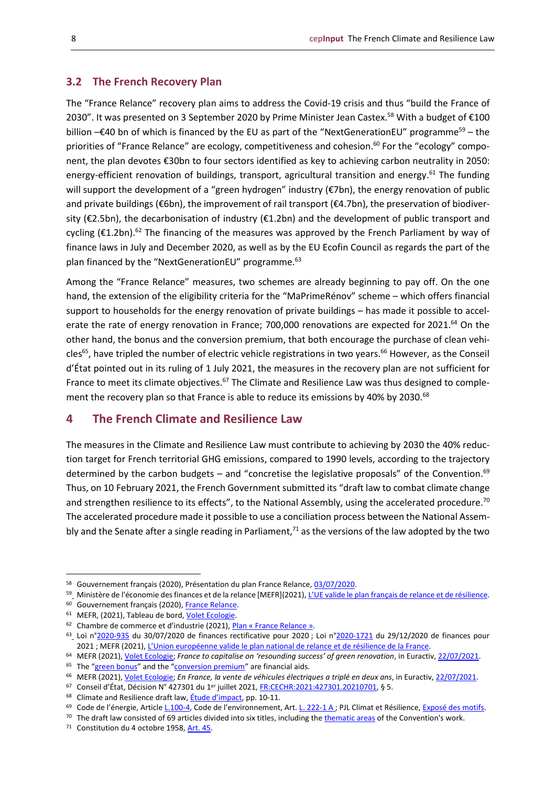#### <span id="page-7-0"></span>**3.2 The French Recovery Plan**

The "France Relance" recovery plan aims to address the Covid-19 crisis and thus "build the France of 2030". It was presented on 3 September 2020 by Prime Minister Jean Castex.<sup>58</sup> With a budget of €100 billion –€40 bn of which is financed by the EU as part of the "NextGenerationEU" programme<sup>59</sup> – the priorities of "France Relance" are ecology, competitiveness and cohesion.<sup>60</sup> For the "ecology" component, the plan devotes €30bn to four sectors identified as key to achieving carbon neutrality in 2050: energy-efficient renovation of buildings, transport, agricultural transition and energy.<sup>61</sup> The funding will support the development of a "green hydrogen" industry (€7bn), the energy renovation of public and private buildings ( $\epsilon$ 6bn), the improvement of rail transport ( $\epsilon$ 4.7bn), the preservation of biodiversity (€2.5bn), the decarbonisation of industry (€1.2bn) and the development of public transport and cycling (€1.2bn).<sup>62</sup> The financing of the measures was approved by the French Parliament by way of finance laws in July and December 2020, as well as by the EU Ecofin Council as regards the part of the plan financed by the "NextGenerationEU" programme.<sup>63</sup>

Among the "France Relance" measures, two schemes are already beginning to pay off. On the one hand, the extension of the eligibility criteria for the "MaPrimeRénov" scheme – which offers financial support to households for the energy renovation of private buildings – has made it possible to accelerate the rate of energy renovation in France; 700,000 renovations are expected for 2021.<sup>64</sup> On the other hand, the bonus and the conversion premium, that both encourage the purchase of clean vehicles<sup>65</sup>, have tripled the number of electric vehicle registrations in two years.<sup>66</sup> However, as the Conseil d'État pointed out in its ruling of 1 July 2021, the measures in the recovery plan are not sufficient for France to meet its climate objectives.<sup>67</sup> The Climate and Resilience Law was thus designed to complement the recovery plan so that France is able to reduce its emissions by 40% by 2030.<sup>68</sup>

#### <span id="page-7-1"></span>**4 The French Climate and Resilience Law**

The measures in the Climate and Resilience Law must contribute to achieving by 2030 the 40% reduction target for French territorial GHG emissions, compared to 1990 levels, according to the trajectory determined by the carbon budgets – and "concretise the legislative proposals" of the Convention.<sup>69</sup> Thus, on 10 February 2021, the French Government submitted its "draft law to combat climate change and strengthen resilience to its effects", to the National Assembly, using the accelerated procedure.<sup>70</sup> The accelerated procedure made it possible to use a conciliation process between the National Assembly and the Senate after a single reading in Parliament,<sup>71</sup> as the versions of the law adopted by the two

<sup>58</sup> Gouvernement français (2020), Présentation du plan France Relance[, 03/07/2020.](https://www.gouvernement.fr/presentation-du-plan-france-relance)

<sup>5</sup>[9](https://www.economie.gouv.fr/union-europeenne-valide-plan-national-relance-resilience-france) Ministère de l'économie des finances et de la relance [MEFR](2021), L'UE valide le plan français [de relance et de résilience.](https://www.economie.gouv.fr/union-europeenne-valide-plan-national-relance-resilience-france)

<sup>60</sup> Gouvernement français (2020)[, France Relance.](https://www.gouvernement.fr/france-relance)

<sup>&</sup>lt;sup>61</sup> MEFR, (2021), Tableau de bord[, Volet Ecologie.](https://www.economie.gouv.fr/plan-de-relance/tableau-de-bord/ecologie)

<sup>&</sup>lt;sup>62</sup> Chambre de commerce et d'industrie (2021), Plan « [France Relance](https://www.cci.fr/actualites/plan-france-relance-100-milliards-deuros-pour-relancer-et-transformer-leconomie) ».

 $63$  $63$  Loi n[°2020-935](https://www.legifrance.gouv.fr/loda/id/JORFTEXT000042176557/2020-08-24/) du 30/07/2020 de finances rectificative pour 2020; Loi n[°2020-1721](https://www.legifrance.gouv.fr/loda/id/JORFTEXT000042753580/) du 29/12/2020 de finances pour 2021 ; MEFR (2021), L'Union eur[opéenne valide le plan national de relance et de résilience de la France.](https://www.economie.gouv.fr/union-europeenne-valide-plan-national-relance-resilience-france)

<sup>&</sup>lt;sup>64</sup> MEFR (2021)[, Volet Ecologie;](https://www.economie.gouv.fr/plan-de-relance/tableau-de-bord/ecologie) *France to capitalise on 'resounding success' of green renovation*, in Euractiv[, 22/07/2021.](https://www.euractiv.com/section/energy/news/france-to-capitalise-on-resounding-success-of-green-renovation/)

<sup>&</sup>lt;sup>65</sup> The "[green bonus](https://www.service-public.fr/particuliers/vosdroits/F34014)" and the "[conversion premium](https://www.ecologie.gouv.fr/prime-conversion-bonus-ecologique-toutes-aides-en-faveur-lacquisition-vehicules-propres)" are financial aids.

<sup>66</sup> MEFR (2021)[, Volet Ecologie;](https://www.economie.gouv.fr/plan-de-relance/tableau-de-bord/ecologie) *En France, la vente de véhicules électriques a triplé en deux ans*, in Euractiv[, 22/07/2021.](https://www.euractiv.fr/section/plan-te/news/en-france-la-vente-de-vehicules-electriques-a-triple-en-deux-ans/)

<sup>&</sup>lt;sup>67</sup> Conseil d'État, Décision N° 427301 du 1ªr juillet 2021, <u>FR:CECHR:2021:427301.20210701</u>, § 5.

<sup>&</sup>lt;sup>68</sup> Climate and Resilience draft law, **[Étude d'impact](https://www.legifrance.gouv.fr/contenu/Media/Files/autour-de-la-loi/legislatif-et-reglementaire/etudes-d-impact-des-lois/ei_art_39_2021/ei_-trex2100379l_cm_10.02.2021.pdf)**, pp. 10-11.

<sup>69</sup> Code de l'énergie, Article [L.100-4](https://www.legifrance.gouv.fr/codes/article_lc/LEGIARTI000039369320), Code de l'environnement, Art. L. [222-1](https://www.legifrance.gouv.fr/codes/article_lc/LEGIARTI000031055378/) A ; PJL Climat et Résilience[, Exposé des motifs.](https://www.legifrance.gouv.fr/dossierlegislatif/JORFDOLE000043113774/?detailType=EXPOSE_MOTIFS&detailId=)

<sup>&</sup>lt;sup>70</sup> The draft law consisted of 69 articles divided into six titles, including th[e thematic areas](https://propositions.conventioncitoyennepourleclimat.fr/) of the Convention's work.

<sup>71</sup> Constitution du 4 octobre 1958, [Art.](https://www.legifrance.gouv.fr/loda/article_lc/LEGIARTI000019241040/2019-07-01) 45.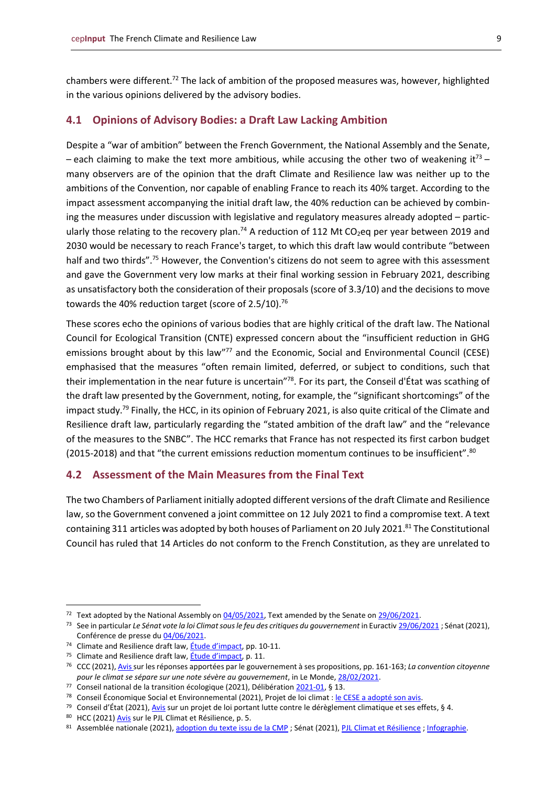chambers were different.<sup>72</sup> The lack of ambition of the proposed measures was, however, highlighted in the various opinions delivered by the advisory bodies.

#### <span id="page-8-0"></span>**4.1 Opinions of Advisory Bodies: a Draft Law Lacking Ambition**

Despite a "war of ambition" between the French Government, the National Assembly and the Senate, – each claiming to make the text more ambitious, while accusing the other two of weakening it<sup>73</sup> – many observers are of the opinion that the draft Climate and Resilience law was neither up to the ambitions of the Convention, nor capable of enabling France to reach its 40% target. According to the impact assessment accompanying the initial draft law, the 40% reduction can be achieved by combining the measures under discussion with legislative and regulatory measures already adopted – particularly those relating to the recovery plan.<sup>74</sup> A reduction of 112 Mt CO<sub>2</sub>eq per year between 2019 and 2030 would be necessary to reach France's target, to which this draft law would contribute "between half and two thirds".<sup>75</sup> However, the Convention's citizens do not seem to agree with this assessment and gave the Government very low marks at their final working session in February 2021, describing as unsatisfactory both the consideration of their proposals (score of 3.3/10) and the decisions to move towards the 40% reduction target (score of 2.5/10).<sup>76</sup>

These scores echo the opinions of various bodies that are highly critical of the draft law. The National Council for Ecological Transition (CNTE) expressed concern about the "insufficient reduction in GHG emissions brought about by this law"<sup>77</sup> and the Economic, Social and Environmental Council (CESE) emphasised that the measures "often remain limited, deferred, or subject to conditions, such that their implementation in the near future is uncertain"<sup>78</sup>. For its part, the Conseil d'État was scathing of the draft law presented by the Government, noting, for example, the "significant shortcomings" of the impact study.<sup>79</sup> Finally, the HCC, in its opinion of February 2021, is also quite critical of the Climate and Resilience draft law, particularly regarding the "stated ambition of the draft law" and the "relevance of the measures to the SNBC". The HCC remarks that France has not respected its first carbon budget (2015-2018) and that "the current emissions reduction momentum continues to be insufficient". ${}^{80}$ 

#### <span id="page-8-1"></span>**4.2 Assessment of the Main Measures from the Final Text**

The two Chambers of Parliament initially adopted different versions of the draft Climate and Resilience law, so the Government convened a joint committee on 12 July 2021 to find a compromise text. A text containing 311 articles was adopted by both houses of Parliament on 20 July 2021.<sup>81</sup> The Constitutional Council has ruled that 14 Articles do not conform to the French Constitution, as they are unrelated to

<sup>&</sup>lt;sup>72</sup> Text adopted by the National Assembly on  $04/05/2021$ , Text amended by the Senate on  $29/06/2021$ .

<sup>&</sup>lt;sup>73</sup> See in particular Le Sénat vote la loi Climat sous le feu des critiques du gouvernement in Euractiv [29/06/2021](https://www.euractiv.fr/section/climat/news/le-senat-vote-la-loi-climat-sous-le-feu-des-critiques-du-gouvernement/); Sénat (2021), Conférence de presse du [04/06/2021.](http://videos.senat.fr/video.2337320_60b9d89583a77.conference-de-presse--le-projet-de-loi-portant-lutte-contre-le-dereglement-climatique-et-renforceme?timecode=4052000)

<sup>&</sup>lt;sup>74</sup> Climate and Resilience draft law, *[Étude d'impact](https://www.legifrance.gouv.fr/contenu/Media/Files/autour-de-la-loi/legislatif-et-reglementaire/etudes-d-impact-des-lois/ei_art_39_2021/ei_-trex2100379l_cm_10.02.2021.pdf)*, pp. 10-11.

<sup>&</sup>lt;sup>75</sup> Climate and Resilience draft law, **[Étude d'impact](https://www.legifrance.gouv.fr/contenu/Media/Files/autour-de-la-loi/legislatif-et-reglementaire/etudes-d-impact-des-lois/ei_art_39_2021/ei_-trex2100379l_cm_10.02.2021.pdf)**, p. 11.

<sup>76</sup> CCC (2021)[, Avis s](https://www.conventioncitoyennepourleclimat.fr/wp-content/uploads/2021/03/CCC-rapport_Session8_GR-1.pdf)ur les réponses apportées par le gouvernement à ses propositions, pp. 161-163; *La convention citoyenne pour le climat se sépare sur une note sévère au gouvernement*, in Le Monde[, 28/02/2021.](https://www.lemonde.fr/planete/article/2021/02/28/la-convention-citoyenne-pour-le-climat-se-separe-sur-une-note-severe-au-gouvernement_6071502_3244.html)

<sup>77</sup> Conseil national de la transition écologique (2021), Délibératio[n 2021-01,](https://www.ecologie.gouv.fr/sites/default/files/CNTE%20-%20Avis%202021.pdf) § 13.

<sup>78</sup> Conseil Économique Social et Environnemental (2021), Projet de loi climat [: le CESE a adopté son avis.](https://www.lecese.fr/content/le-cese-adopte-son-avis-sur-le-projet-de-loi-climat)

<sup>79</sup> Conseil d'État (2021), [Avis](https://www.conseil-etat.fr/ressources/avis-aux-pouvoirs-publics/derniers-avis-publies/avis-sur-un-projet-de-loi-portant-lutte-contre-le-dereglement-climatique-et-ses-effets) sur un projet de loi portant lutte contre le dérèglement climatique et ses effets, § 4.

<sup>80</sup> HCC (2021[\) Avis](https://www.hautconseilclimat.fr/wp-content/uploads/2021/02/hcc-avis-pjl-climat-resilience-1.pdf) sur le PJL Climat et Résilience, p. 5.

<sup>81</sup> Assemblée nationale (2021)[, adoption du texte issu de la CMP](https://www.assemblee-nationale.fr/dyn/actualites-accueil-hub/lutte-contre-le-dereglement-climatique-adoption-du-texte-issu-de-la-cmp) ; Sénat (2021), [PJL Climat et Résilience](http://www.senat.fr/espace_presse/actualites/202102/climat/pjl_climat_et_resilience.html) [; Infographie.](http://www.senat.fr/fileadmin/Fichiers/Images/redaction_multimedia/2021/2021_Infographies/20210719_INFOG_CMP_.pdf)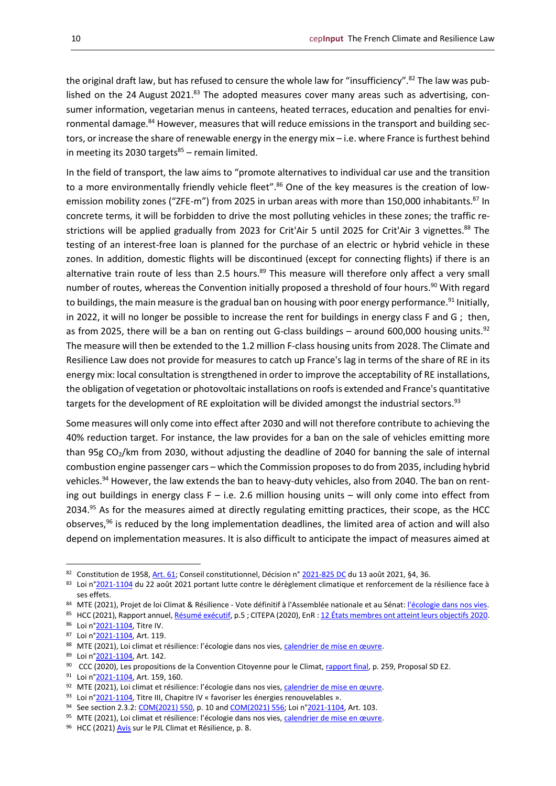the original draft law, but has refused to censure the whole law for "insufficiency".<sup>82</sup> The law was published on the 24 August 2021.<sup>83</sup> The adopted measures cover many areas such as advertising, consumer information, vegetarian menus in canteens, heated terraces, education and penalties for environmental damage.<sup>84</sup> However, measures that will reduce emissions in the transport and building sectors, or increase the share of renewable energy in the energy mix – i.e. where France is furthest behind in meeting its 2030 targets $85$  – remain limited.

In the field of transport, the law aims to "promote alternatives to individual car use and the transition to a more environmentally friendly vehicle fleet".<sup>86</sup> One of the key measures is the creation of lowemission mobility zones ("ZFE-m") from 2025 in urban areas with more than 150,000 inhabitants.<sup>87</sup> In concrete terms, it will be forbidden to drive the most polluting vehicles in these zones; the traffic restrictions will be applied gradually from 2023 for Crit'Air 5 until 2025 for Crit'Air 3 vignettes.<sup>88</sup> The testing of an interest-free loan is planned for the purchase of an electric or hybrid vehicle in these zones. In addition, domestic flights will be discontinued (except for connecting flights) if there is an alternative train route of less than 2.5 hours.<sup>89</sup> This measure will therefore only affect a very small number of routes, whereas the Convention initially proposed a threshold of four hours. <sup>90</sup> With regard to buildings, the main measure is the gradual ban on housing with poor energy performance.<sup>91</sup> Initially, in 2022, it will no longer be possible to increase the rent for buildings in energy class F and G; then, as from 2025, there will be a ban on renting out G-class buildings – around 600,000 housing units.<sup>92</sup> The measure will then be extended to the 1.2 million F-class housing units from 2028. The Climate and Resilience Law does not provide for measures to catch up France's lag in terms of the share of RE in its energy mix: local consultation is strengthened in order to improve the acceptability of RE installations, the obligation of vegetation or photovoltaic installations on roofs is extended and France's quantitative targets for the development of RE exploitation will be divided amongst the industrial sectors.<sup>93</sup>

Some measures will only come into effect after 2030 and will not therefore contribute to achieving the 40% reduction target. For instance, the law provides for a ban on the sale of vehicles emitting more than 95g  $CO<sub>2</sub>/km$  from 2030, without adjusting the deadline of 2040 for banning the sale of internal combustion engine passenger cars – which the Commission proposes to do from 2035, including hybrid vehicles.<sup>94</sup> However, the law extends the ban to heavy-duty vehicles, also from 2040. The ban on renting out buildings in energy class  $F - i.e.$  2.6 million housing units – will only come into effect from 2034.<sup>95</sup> As for the measures aimed at directly regulating emitting practices, their scope, as the HCC observes, $96$  is reduced by the long implementation deadlines, the limited area of action and will also depend on implementation measures. It is also difficult to anticipate the impact of measures aimed at

<sup>82</sup> Constitution de 1958[, Art. 61;](https://www.legifrance.gouv.fr/loda/article_lc/LEGIARTI000019241074/) Conseil constitutionnel, Décision n° [2021-825](https://www.conseil-constitutionnel.fr/decision/2021/2021825DC.htm) DC du 13 août 2021, §4, 36.

<sup>83</sup> Loi n[°2021-1104](https://www.legifrance.gouv.fr/eli/loi/2021/8/22/TREX2100379L/jo/texte) du 22 août 2021 portant lutte contre le dérèglement climatique et renforcement de la résilience face à ses effets.

<sup>84</sup> MTE (2021), Projet de loi Climat & Résilience - Vote définitif à l'Assemblée nationale et au Sénat[: l'écologie dans nos vies.](https://www.ecologie.gouv.fr/projet-loi-climat-resilience-vote-definitif-lassemblee-nationale-et-au-senat-lecologie-dans-nos-vies)

<sup>85</sup> HCC (2021), Rapport annuel[, Résumé exécutif,](https://www.hautconseilclimat.fr/wp-content/uploads/2021/06/Resume-executif-Rapport-annuel-2021.pdf) p.5 ; CITEPA (2020), EnR : 12 [États membres ont atteint leurs objectifs](https://www.citepa.org/fr/2020_01_b14/) 2020.

<sup>86</sup> Loi n[°2021-1104,](https://www.legifrance.gouv.fr/eli/loi/2021/8/22/TREX2100379L/jo/texte) Titre IV.

<sup>87</sup> Loi n[°2021-1104,](https://www.legifrance.gouv.fr/eli/loi/2021/8/22/TREX2100379L/jo/texte) Art. 119.

<sup>88</sup> MTE (2021), Loi climat et résilience: l'écologie dans nos vies, [calendrier de mise en œuvre](https://www.ecologie.gouv.fr/loi-climat-resilience).

<sup>89</sup> Loi n[°2021-1104,](https://www.legifrance.gouv.fr/eli/loi/2021/8/22/TREX2100379L/jo/texte) Art. 142.

<sup>90</sup> CCC (2020), Les propositions de la Convention Citoyenne pour le Climat, [rapport final,](https://www.lecese.fr/sites/default/files/pdf/Convention/ccc-rapport-final.pdf) p. 259, Proposal SD E2.

<sup>91</sup> Loi n° 2021-1104, Art. 159, 160.

<sup>92</sup> MTE (2021), Loi climat et résilience: l'écologie dans nos vies, calendrier d[e mise en œuvre](https://www.ecologie.gouv.fr/loi-climat-resilience).

<sup>93</sup> Loi n[°2021-1104,](https://www.legifrance.gouv.fr/eli/loi/2021/8/22/TREX2100379L/jo/texte) Titre III, Chapitre IV « favoriser les énergies renouvelables ».

<sup>94</sup> See section 2.3.2: [COM\(2021\) 550,](https://eur-lex.europa.eu/legal-content/FR/TXT/PDF/?uri=CELEX:52021DC0550&from=FR) p. 10 and [COM\(2021\) 556;](https://ec.europa.eu/info/sites/default/files/amendment-regulation-co2-emission-standards-cars-vans-with-annexes_en.pdf) Loi n[°2021-1104,](https://www.legifrance.gouv.fr/eli/loi/2021/8/22/TREX2100379L/jo/texte) Art. 103.

<sup>95</sup> MTE (2021), Loi climat et résilience: l'écologie dans nos vies, [calendrier de mise en œuvre](https://www.ecologie.gouv.fr/loi-climat-resilience).

<sup>96</sup> HCC (2021[\) Avis](https://www.hautconseilclimat.fr/wp-content/uploads/2021/02/hcc-avis-pjl-climat-resilience-1.pdf) sur le PJL Climat et Résilience, p. 8.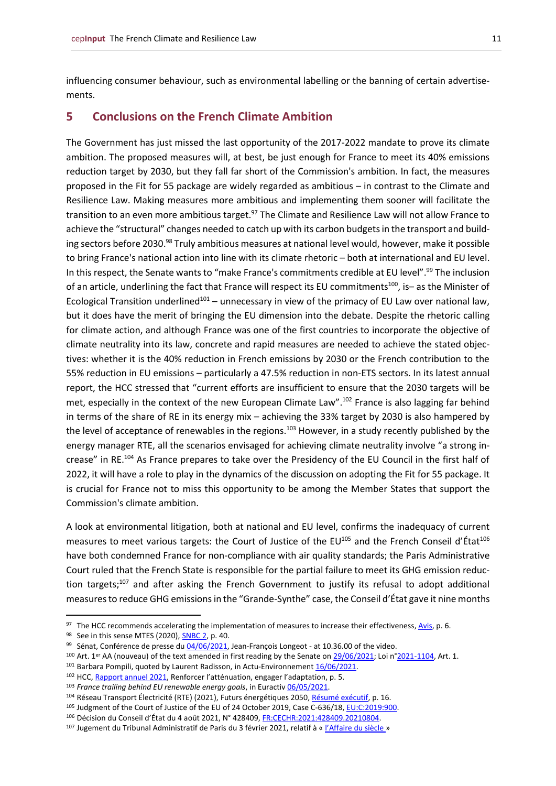influencing consumer behaviour, such as environmental labelling or the banning of certain advertisements.

#### <span id="page-10-0"></span>**5 Conclusions on the French Climate Ambition**

The Government has just missed the last opportunity of the 2017-2022 mandate to prove its climate ambition. The proposed measures will, at best, be just enough for France to meet its 40% emissions reduction target by 2030, but they fall far short of the Commission's ambition. In fact, the measures proposed in the Fit for 55 package are widely regarded as ambitious – in contrast to the Climate and Resilience Law. Making measures more ambitious and implementing them sooner will facilitate the transition to an even more ambitious target.<sup>97</sup> The Climate and Resilience Law will not allow France to achieve the "structural" changes needed to catch up with its carbon budgets in the transport and building sectors before 2030.<sup>98</sup> Truly ambitious measures at national level would, however, make it possible to bring France's national action into line with its climate rhetoric – both at international and EU level. In this respect, the Senate wants to "make France's commitments credible at EU level". <sup>99</sup> The inclusion of an article, underlining the fact that France will respect its EU commitments<sup>100</sup>, is- as the Minister of Ecological Transition underlined<sup>101</sup> – unnecessary in view of the primacy of EU Law over national law, but it does have the merit of bringing the EU dimension into the debate. Despite the rhetoric calling for climate action, and although France was one of the first countries to incorporate the objective of climate neutrality into its law, concrete and rapid measures are needed to achieve the stated objectives: whether it is the 40% reduction in French emissions by 2030 or the French contribution to the 55% reduction in EU emissions – particularly a 47.5% reduction in non-ETS sectors. In its latest annual report, the HCC stressed that "current efforts are insufficient to ensure that the 2030 targets will be met, especially in the context of the new European Climate Law".<sup>102</sup> France is also lagging far behind in terms of the share of RE in its energy mix – achieving the 33% target by 2030 is also hampered by the level of acceptance of renewables in the regions.<sup>103</sup> However, in a study recently published by the energy manager RTE, all the scenarios envisaged for achieving climate neutrality involve "a strong increase" in RE.<sup>104</sup> As France prepares to take over the Presidency of the EU Council in the first half of 2022, it will have a role to play in the dynamics of the discussion on adopting the Fit for 55 package. It is crucial for France not to miss this opportunity to be among the Member States that support the Commission's climate ambition.

A look at environmental litigation, both at national and EU level, confirms the inadequacy of current measures to meet various targets: the Court of Justice of the EU<sup>105</sup> and the French Conseil d'État<sup>106</sup> have both condemned France for non-compliance with air quality standards; the Paris Administrative Court ruled that the French State is responsible for the partial failure to meet its GHG emission reduction targets;<sup>107</sup> and after asking the French Government to justify its refusal to adopt additional measures to reduce GHG emissions in the "Grande-Synthe" case, the Conseil d'État gave it nine months

98 See in this sense MTES (2020), **SNBC 2**, p. 40.

101 Barbara Pompili, quoted by Laurent Radisson, in Actu-Environnemen[t 16/06/2021.](https://www.actu-environnement.com/ae/news/projet-loi-climat-objectif-europeen-inscription-senat-37722.php4#xtor=ES-6)

<sup>97</sup> The HCC recommends accelerating the implementation of measures to increase their effectiveness[, Avis,](https://www.hautconseilclimat.fr/wp-content/uploads/2021/02/hcc-avis-pjl-climat-resilience-1.pdf) p. 6.

<sup>99</sup> Sénat, Conférence de presse du [04/06/2021,](http://videos.senat.fr/video.2337320_60b9d89583a77.conference-de-presse--le-projet-de-loi-portant-lutte-contre-le-dereglement-climatique-et-renforceme?timecode=4052000) Jean-François Longeot - at 10.36.00 of the video.

<sup>100</sup> Art. 1er AA (nouveau) of the text amended in first reading by the Senate on [29/06/2021;](https://www.senat.fr/petite-loi-ameli/2020-2021/667.html) Loi n[°2021-1104,](https://www.legifrance.gouv.fr/eli/loi/2021/8/22/TREX2100379L/jo/texte) Art. 1.

<sup>102</sup> HCC[, Rapport annuel 2021](https://www.hautconseilclimat.fr/wp-content/uploads/2021/06/HCC-rappport-annuel-2021.pdf), Renforcer l'atténuation, engager l'adaptation, p. 5.

<sup>103</sup> *France trailing behind EU renewable energy goals*, in Euracti[v 06/05/2021.](https://www.euractiv.com/section/energy/news/france-trailing-behind-eu-renewable-energy-goals/)

<sup>104</sup> Réseau Transport Électricité (RTE) (2021), Futurs énergétiques 2050, [Résumé exécutif,](https://assets.rte-france.com/prod/public/2021-06/BP50_Resume%20executif.pdf?utm_source=piano&utm_medium=email&utm_campaign=10209&pnespid=1LA1qftRC1eNkKOATcHxye.M5wfw5yeoX8CC.fte) p. 16.

<sup>105</sup> Judgment of the Court of Justice of the EU of 24 October 2019, Case C-636/18[, EU:C:2019:900.](https://curia.europa.eu/juris/document/document.jsf?docid=219452&doclang=fr)

<sup>106</sup> Décision du Conseil d'État du 4 août 2021, N° 428409, [FR:CECHR:2021:428409.20210804.](https://www.conseil-etat.fr/actualites/actualites/pollution-de-l-air-le-conseil-d-etat-condamne-l-etat-a-payer-10-millions-d-euros)

<sup>107</sup> Jugement du Tribunal Administratif de Paris du 3 février 2021, relatif à « [l'Affaire du siècle](http://paris.tribunal-administratif.fr/content/download/179360/1759761/version/1/file/1904967190496819049721904976.pdf) »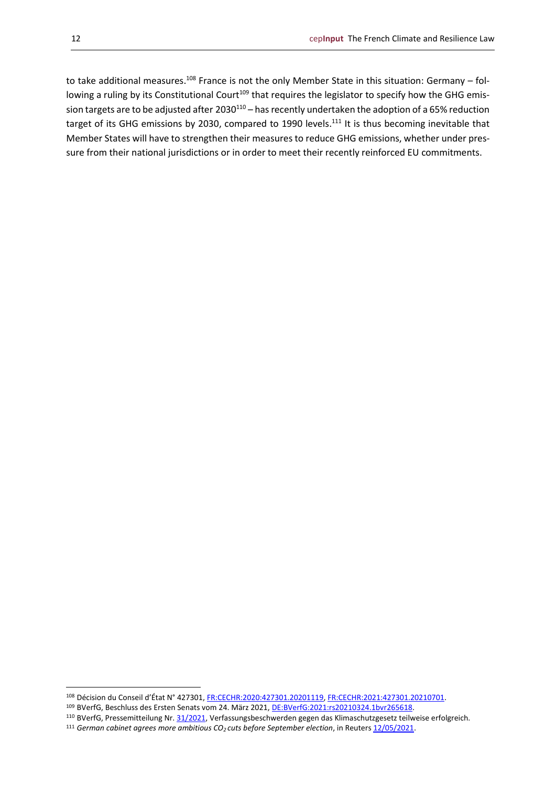to take additional measures.<sup>108</sup> France is not the only Member State in this situation: Germany – following a ruling by its Constitutional Court<sup>109</sup> that requires the legislator to specify how the GHG emission targets are to be adjusted after 2030<sup>110</sup> – has recently undertaken the adoption of a 65% reduction target of its GHG emissions by 2030, compared to 1990 levels.<sup>111</sup> It is thus becoming inevitable that Member States will have to strengthen their measures to reduce GHG emissions, whether under pressure from their national jurisdictions or in order to meet their recently reinforced EU commitments.

<sup>108</sup> Décision du Conseil d'État N° 427301, [FR:CECHR:2020:427301.20201119,](https://www.conseil-etat.fr/fr/arianeweb/CE/decision/2020-11-19/427301) [FR:CECHR:2021:427301.20210701.](https://www.conseil-etat.fr/fr/arianeweb/CE/decision/2021-07-01/427301)

<sup>109</sup> BVerfG, Beschluss des Ersten Senats vom 24. März 2021, [DE:BVerfG:2021:rs20210324.1bvr265618.](http://www.bverfg.de/e/rs20210324_1bvr265618.html)

<sup>110</sup> BVerfG, Pressemitteilung Nr. [31/2021,](https://www.bundesverfassungsgericht.de/SharedDocs/Pressemitteilungen/DE/2021/bvg21-031.html) Verfassungsbeschwerden gegen das Klimaschutzgesetz teilweise erfolgreich.

<sup>111</sup> *German cabinet agrees more ambitious CO2 cuts before September election*, in Reuters [12/05/2021.](https://www.reuters.com/world/europe/german-cabinet-passes-plans-more-ambitious-co2-cuts-govt-source-2021-05-12/)